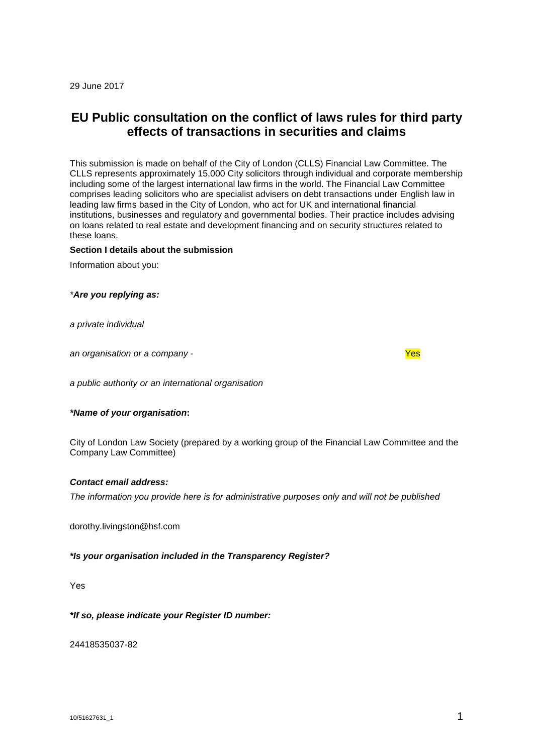29 June 2017

# **EU Public consultation on the conflict of laws rules for third party effects of transactions in securities and claims**

This submission is made on behalf of the City of London (CLLS) Financial Law Committee. The CLLS represents approximately 15,000 City solicitors through individual and corporate membership including some of the largest international law firms in the world. The Financial Law Committee comprises leading solicitors who are specialist advisers on debt transactions under English law in leading law firms based in the City of London, who act for UK and international financial institutions, businesses and regulatory and governmental bodies. Their practice includes advising on loans related to real estate and development financing and on security structures related to these loans.

# **Section I details about the submission**

Information about you:

#### *\*Are you replying as:*

*a private individual*

*an organisation or a company* - Yes

*a public authority or an international organisation*

#### *\*Name of your organisation***:**

City of London Law Society (prepared by a working group of the Financial Law Committee and the Company Law Committee)

#### *Contact email address:*

*The information you provide here is for administrative purposes only and will not be published*

dorothy.livingston@hsf.com

#### *\*Is your organisation included in the Transparency Register?*

Yes

## *\*If so, please indicate your Register ID number:*

24418535037-82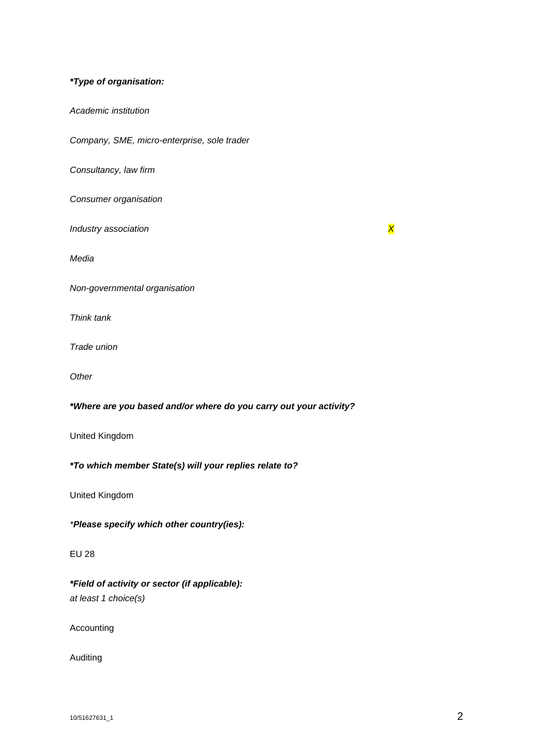# *\*Type of organisation:*

*Academic institution*

*Company, SME, micro-enterprise, sole trader*

*Consultancy, law firm*

*Consumer organisation*

*Industry association X* 

*Media*

*Non-governmental organisation*

*Think tank*

*Trade union*

*Other*

*\*Where are you based and/or where do you carry out your activity?*

United Kingdom

*\*To which member State(s) will your replies relate to?*

United Kingdom

*\*Please specify which other country(ies):*

# EU 28

*\*Field of activity or sector (if applicable): at least 1 choice(s)*

Accounting

Auditing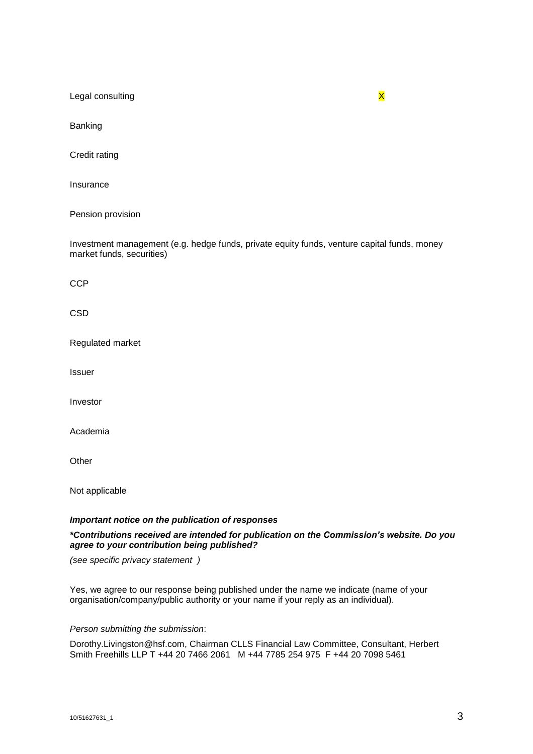Legal consulting **X** 

Banking

Credit rating

Insurance

Pension provision

Investment management (e.g. hedge funds, private equity funds, venture capital funds, money market funds, securities)

**CCP** 

**CSD** 

Regulated market

Issuer

Investor

Academia

**Other** 

Not applicable

## *Important notice on the publication of responses*

*\*Contributions received are intended for publication on the Commission's website. Do you agree to your contribution being published?*

*(see specific privacy statement )*

Yes, we agree to our response being published under the name we indicate (name of your organisation/company/public authority or your name if your reply as an individual).

# *Person submitting the submission*:

Dorothy.Livingston@hsf.com, Chairman CLLS Financial Law Committee, Consultant, Herbert Smith Freehills LLP T +44 20 7466 2061 M +44 7785 254 975 F +44 20 7098 5461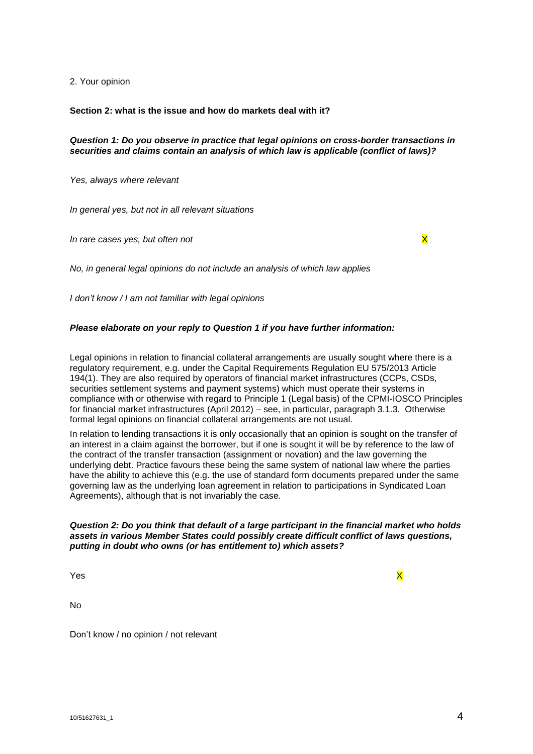2. Your opinion

**Section 2: what is the issue and how do markets deal with it?**

## *Question 1: Do you observe in practice that legal opinions on cross-border transactions in securities and claims contain an analysis of which law is applicable (conflict of laws)?*

*Yes, always where relevant*

*In general yes, but not in all relevant situations*

*In rare cases yes, but often not* X

*No, in general legal opinions do not include an analysis of which law applies*

*I don't know / I am not familiar with legal opinions*

# *Please elaborate on your reply to Question 1 if you have further information:*

Legal opinions in relation to financial collateral arrangements are usually sought where there is a regulatory requirement, e.g. under the Capital Requirements Regulation EU 575/2013 Article 194(1). They are also required by operators of financial market infrastructures (CCPs, CSDs, securities settlement systems and payment systems) which must operate their systems in compliance with or otherwise with regard to Principle 1 (Legal basis) of the CPMI-IOSCO Principles for financial market infrastructures (April 2012) – see, in particular, paragraph 3.1.3. Otherwise formal legal opinions on financial collateral arrangements are not usual.

In relation to lending transactions it is only occasionally that an opinion is sought on the transfer of an interest in a claim against the borrower, but if one is sought it will be by reference to the law of the contract of the transfer transaction (assignment or novation) and the law governing the underlying debt. Practice favours these being the same system of national law where the parties have the ability to achieve this (e.g. the use of standard form documents prepared under the same governing law as the underlying loan agreement in relation to participations in Syndicated Loan Agreements), although that is not invariably the case.

## *Question 2: Do you think that default of a large participant in the financial market who holds assets in various Member States could possibly create difficult conflict of laws questions, putting in doubt who owns (or has entitlement to) which assets?*

Yes and the set of the set of the set of the set of the set of the set of the set of the set of the set of the

No

Don't know / no opinion / not relevant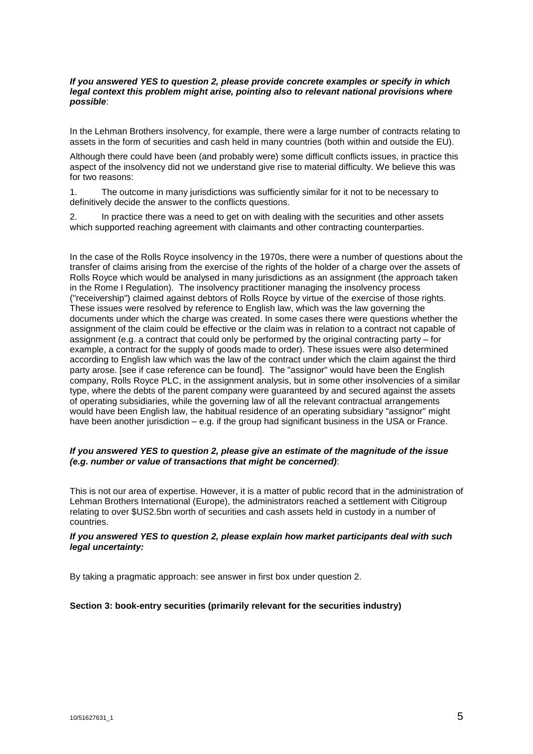## *If you answered YES to question 2, please provide concrete examples or specify in which legal context this problem might arise, pointing also to relevant national provisions where possible*:

In the Lehman Brothers insolvency, for example, there were a large number of contracts relating to assets in the form of securities and cash held in many countries (both within and outside the EU).

Although there could have been (and probably were) some difficult conflicts issues, in practice this aspect of the insolvency did not we understand give rise to material difficulty. We believe this was for two reasons:

1. The outcome in many jurisdictions was sufficiently similar for it not to be necessary to definitively decide the answer to the conflicts questions.

2. In practice there was a need to get on with dealing with the securities and other assets which supported reaching agreement with claimants and other contracting counterparties.

In the case of the Rolls Royce insolvency in the 1970s, there were a number of questions about the transfer of claims arising from the exercise of the rights of the holder of a charge over the assets of Rolls Royce which would be analysed in many jurisdictions as an assignment (the approach taken in the Rome I Regulation). The insolvency practitioner managing the insolvency process ("receivership") claimed against debtors of Rolls Royce by virtue of the exercise of those rights. These issues were resolved by reference to English law, which was the law governing the documents under which the charge was created. In some cases there were questions whether the assignment of the claim could be effective or the claim was in relation to a contract not capable of assignment (e.g. a contract that could only be performed by the original contracting party – for example, a contract for the supply of goods made to order). These issues were also determined according to English law which was the law of the contract under which the claim against the third party arose. [see if case reference can be found]. The "assignor" would have been the English company, Rolls Royce PLC, in the assignment analysis, but in some other insolvencies of a similar type, where the debts of the parent company were guaranteed by and secured against the assets of operating subsidiaries, while the governing law of all the relevant contractual arrangements would have been English law, the habitual residence of an operating subsidiary "assignor" might have been another jurisdiction – e.g. if the group had significant business in the USA or France.

# *If you answered YES to question 2, please give an estimate of the magnitude of the issue (e.g. number or value of transactions that might be concerned)*:

This is not our area of expertise. However, it is a matter of public record that in the administration of Lehman Brothers International (Europe), the administrators reached a settlement with Citigroup relating to over \$US2.5bn worth of securities and cash assets held in custody in a number of countries.

#### *If you answered YES to question 2, please explain how market participants deal with such legal uncertainty:*

By taking a pragmatic approach: see answer in first box under question 2.

# **Section 3: book-entry securities (primarily relevant for the securities industry)**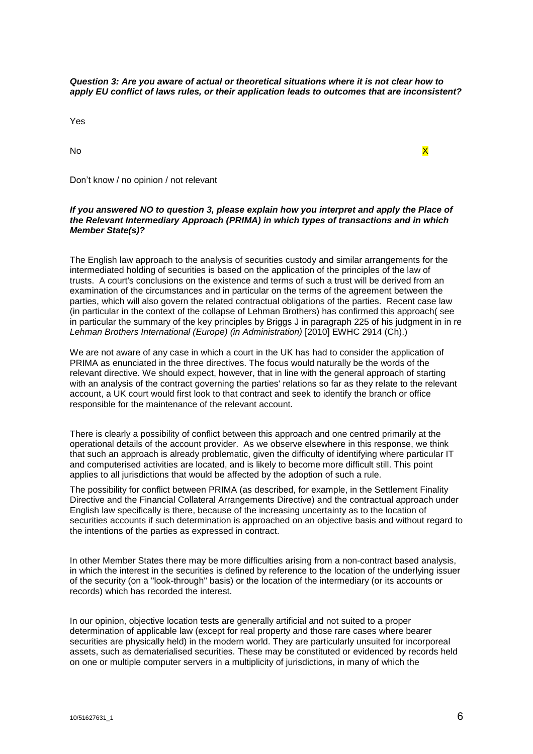*Question 3: Are you aware of actual or theoretical situations where it is not clear how to apply EU conflict of laws rules, or their application leads to outcomes that are inconsistent?*

Yes

No the contract of the contract of the contract of the contract of the contract of the contract of the contract of the contract of the contract of the contract of the contract of the contract of the contract of the contrac

# Don't know / no opinion / not relevant

#### *If you answered NO to question 3, please explain how you interpret and apply the Place of the Relevant Intermediary Approach (PRIMA) in which types of transactions and in which Member State(s)?*

The English law approach to the analysis of securities custody and similar arrangements for the intermediated holding of securities is based on the application of the principles of the law of trusts. A court's conclusions on the existence and terms of such a trust will be derived from an examination of the circumstances and in particular on the terms of the agreement between the parties, which will also govern the related contractual obligations of the parties. Recent case law (in particular in the context of the collapse of Lehman Brothers) has confirmed this approach( see in particular the summary of the key principles by Briggs J in paragraph 225 of his judgment in in re *Lehman Brothers International (Europe) (in Administration)* [2010] EWHC 2914 (Ch).)

We are not aware of any case in which a court in the UK has had to consider the application of PRIMA as enunciated in the three directives. The focus would naturally be the words of the relevant directive. We should expect, however, that in line with the general approach of starting with an analysis of the contract governing the parties' relations so far as they relate to the relevant account, a UK court would first look to that contract and seek to identify the branch or office responsible for the maintenance of the relevant account.

There is clearly a possibility of conflict between this approach and one centred primarily at the operational details of the account provider. As we observe elsewhere in this response, we think that such an approach is already problematic, given the difficulty of identifying where particular IT and computerised activities are located, and is likely to become more difficult still. This point applies to all jurisdictions that would be affected by the adoption of such a rule.

The possibility for conflict between PRIMA (as described, for example, in the Settlement Finality Directive and the Financial Collateral Arrangements Directive) and the contractual approach under English law specifically is there, because of the increasing uncertainty as to the location of securities accounts if such determination is approached on an objective basis and without regard to the intentions of the parties as expressed in contract.

In other Member States there may be more difficulties arising from a non-contract based analysis, in which the interest in the securities is defined by reference to the location of the underlying issuer of the security (on a "look-through" basis) or the location of the intermediary (or its accounts or records) which has recorded the interest.

In our opinion, objective location tests are generally artificial and not suited to a proper determination of applicable law (except for real property and those rare cases where bearer securities are physically held) in the modern world. They are particularly unsuited for incorporeal assets, such as dematerialised securities. These may be constituted or evidenced by records held on one or multiple computer servers in a multiplicity of jurisdictions, in many of which the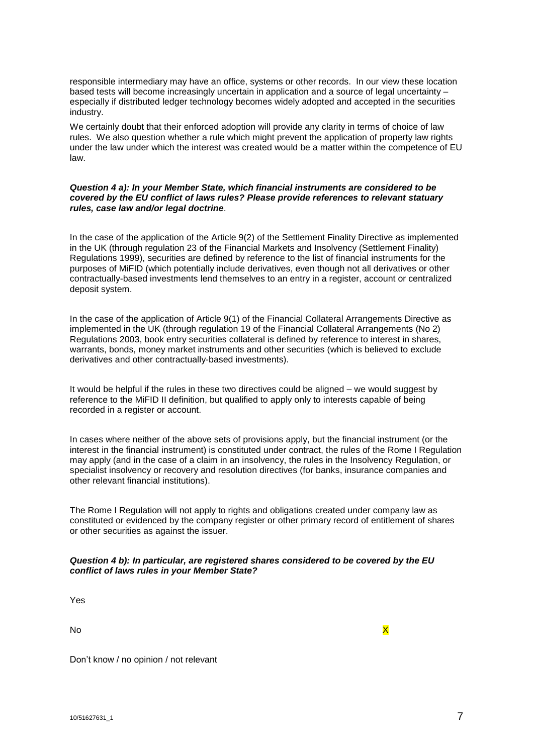responsible intermediary may have an office, systems or other records. In our view these location based tests will become increasingly uncertain in application and a source of legal uncertainty – especially if distributed ledger technology becomes widely adopted and accepted in the securities industry.

We certainly doubt that their enforced adoption will provide any clarity in terms of choice of law rules. We also question whether a rule which might prevent the application of property law rights under the law under which the interest was created would be a matter within the competence of EU law.

# *Question 4 a): In your Member State, which financial instruments are considered to be covered by the EU conflict of laws rules? Please provide references to relevant statuary rules, case law and/or legal doctrine*.

In the case of the application of the Article 9(2) of the Settlement Finality Directive as implemented in the UK (through regulation 23 of the Financial Markets and Insolvency (Settlement Finality) Regulations 1999), securities are defined by reference to the list of financial instruments for the purposes of MiFID (which potentially include derivatives, even though not all derivatives or other contractually-based investments lend themselves to an entry in a register, account or centralized deposit system.

In the case of the application of Article 9(1) of the Financial Collateral Arrangements Directive as implemented in the UK (through regulation 19 of the Financial Collateral Arrangements (No 2) Regulations 2003, book entry securities collateral is defined by reference to interest in shares, warrants, bonds, money market instruments and other securities (which is believed to exclude derivatives and other contractually-based investments).

It would be helpful if the rules in these two directives could be aligned – we would suggest by reference to the MiFID II definition, but qualified to apply only to interests capable of being recorded in a register or account.

In cases where neither of the above sets of provisions apply, but the financial instrument (or the interest in the financial instrument) is constituted under contract, the rules of the Rome I Regulation may apply (and in the case of a claim in an insolvency, the rules in the Insolvency Regulation, or specialist insolvency or recovery and resolution directives (for banks, insurance companies and other relevant financial institutions).

The Rome I Regulation will not apply to rights and obligations created under company law as constituted or evidenced by the company register or other primary record of entitlement of shares or other securities as against the issuer.

# *Question 4 b): In particular, are registered shares considered to be covered by the EU conflict of laws rules in your Member State?*

Yes

No the contract of the contract of the contract of the contract of the contract of the contract of the contract of the contract of the contract of the contract of the contract of the contract of the contract of the contrac

Don't know / no opinion / not relevant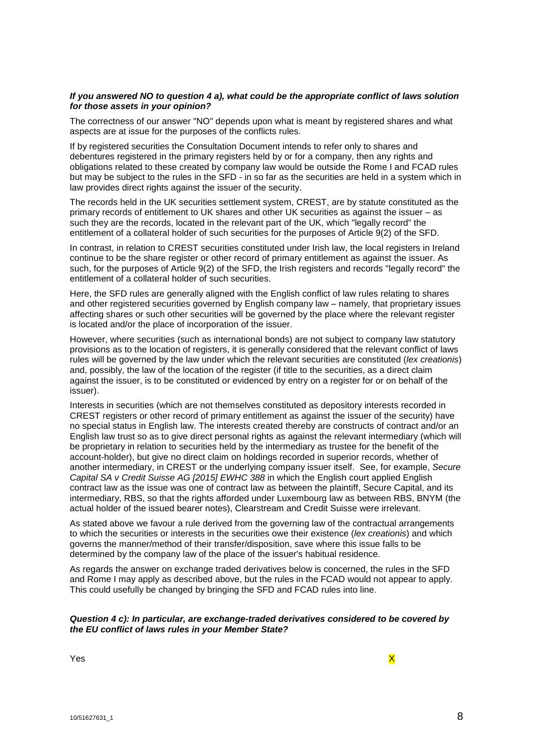#### *If you answered NO to question 4 a), what could be the appropriate conflict of laws solution for those assets in your opinion?*

The correctness of our answer "NO" depends upon what is meant by registered shares and what aspects are at issue for the purposes of the conflicts rules.

If by registered securities the Consultation Document intends to refer only to shares and debentures registered in the primary registers held by or for a company, then any rights and obligations related to these created by company law would be outside the Rome I and FCAD rules but may be subject to the rules in the SFD - in so far as the securities are held in a system which in law provides direct rights against the issuer of the security.

The records held in the UK securities settlement system, CREST, are by statute constituted as the primary records of entitlement to UK shares and other UK securities as against the issuer – as such they are the records, located in the relevant part of the UK, which "legally record" the entitlement of a collateral holder of such securities for the purposes of Article 9(2) of the SFD.

In contrast, in relation to CREST securities constituted under Irish law, the local registers in Ireland continue to be the share register or other record of primary entitlement as against the issuer. As such, for the purposes of Article 9(2) of the SFD, the Irish registers and records "legally record" the entitlement of a collateral holder of such securities.

Here, the SFD rules are generally aligned with the English conflict of law rules relating to shares and other registered securities governed by English company law – namely, that proprietary issues affecting shares or such other securities will be governed by the place where the relevant register is located and/or the place of incorporation of the issuer.

However, where securities (such as international bonds) are not subject to company law statutory provisions as to the location of registers, it is generally considered that the relevant conflict of laws rules will be governed by the law under which the relevant securities are constituted (*lex creationis*) and, possibly, the law of the location of the register (if title to the securities, as a direct claim against the issuer, is to be constituted or evidenced by entry on a register for or on behalf of the issuer).

Interests in securities (which are not themselves constituted as depository interests recorded in CREST registers or other record of primary entitlement as against the issuer of the security) have no special status in English law. The interests created thereby are constructs of contract and/or an English law trust so as to give direct personal rights as against the relevant intermediary (which will be proprietary in relation to securities held by the intermediary as trustee for the benefit of the account-holder), but give no direct claim on holdings recorded in superior records, whether of another intermediary, in CREST or the underlying company issuer itself. See, for example, *Secure Capital SA v Credit Suisse AG [2015] EWHC 388* in which the English court applied English contract law as the issue was one of contract law as between the plaintiff, Secure Capital, and its intermediary, RBS, so that the rights afforded under Luxembourg law as between RBS, BNYM (the actual holder of the issued bearer notes), Clearstream and Credit Suisse were irrelevant.

As stated above we favour a rule derived from the governing law of the contractual arrangements to which the securities or interests in the securities owe their existence (*lex creationis*) and which governs the manner/method of their transfer/disposition, save where this issue falls to be determined by the company law of the place of the issuer's habitual residence.

As regards the answer on exchange traded derivatives below is concerned, the rules in the SFD and Rome I may apply as described above, but the rules in the FCAD would not appear to apply. This could usefully be changed by bringing the SFD and FCAD rules into line.

#### *Question 4 c): In particular, are exchange-traded derivatives considered to be covered by the EU conflict of laws rules in your Member State?*

Yes and the contract of the contract of the contract of the contract of the contract of the contract of the contract of the contract of the contract of the contract of the contract of the contract of the contract of the co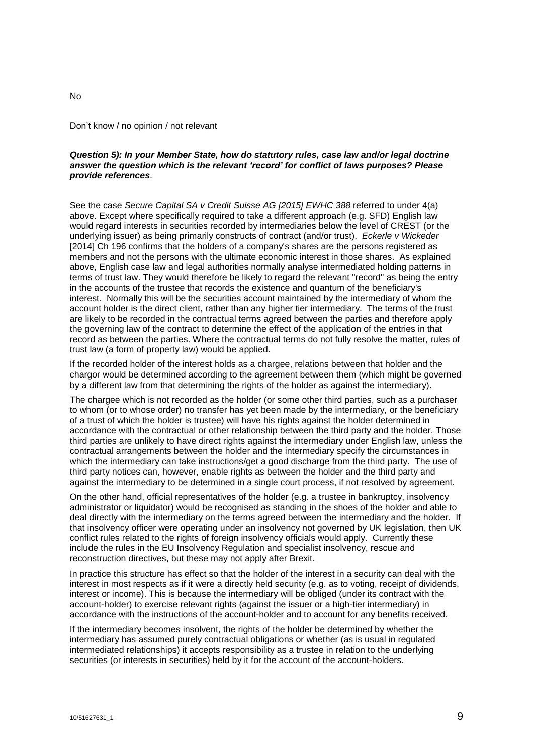#### Don't know / no opinion / not relevant

#### *Question 5): In your Member State, how do statutory rules, case law and/or legal doctrine answer the question which is the relevant 'record' for conflict of laws purposes? Please provide references*.

See the case *Secure Capital SA v Credit Suisse AG [2015] EWHC 388* referred to under 4(a) above. Except where specifically required to take a different approach (e.g. SFD) English law would regard interests in securities recorded by intermediaries below the level of CREST (or the underlying issuer) as being primarily constructs of contract (and/or trust). *Eckerle v Wickeder* [2014] Ch 196 confirms that the holders of a company's shares are the persons registered as members and not the persons with the ultimate economic interest in those shares. As explained above, English case law and legal authorities normally analyse intermediated holding patterns in terms of trust law. They would therefore be likely to regard the relevant "record" as being the entry in the accounts of the trustee that records the existence and quantum of the beneficiary's interest. Normally this will be the securities account maintained by the intermediary of whom the account holder is the direct client, rather than any higher tier intermediary. The terms of the trust are likely to be recorded in the contractual terms agreed between the parties and therefore apply the governing law of the contract to determine the effect of the application of the entries in that record as between the parties. Where the contractual terms do not fully resolve the matter, rules of trust law (a form of property law) would be applied.

If the recorded holder of the interest holds as a chargee, relations between that holder and the chargor would be determined according to the agreement between them (which might be governed by a different law from that determining the rights of the holder as against the intermediary).

The chargee which is not recorded as the holder (or some other third parties, such as a purchaser to whom (or to whose order) no transfer has yet been made by the intermediary, or the beneficiary of a trust of which the holder is trustee) will have his rights against the holder determined in accordance with the contractual or other relationship between the third party and the holder. Those third parties are unlikely to have direct rights against the intermediary under English law, unless the contractual arrangements between the holder and the intermediary specify the circumstances in which the intermediary can take instructions/get a good discharge from the third party. The use of third party notices can, however, enable rights as between the holder and the third party and against the intermediary to be determined in a single court process, if not resolved by agreement.

On the other hand, official representatives of the holder (e.g. a trustee in bankruptcy, insolvency administrator or liquidator) would be recognised as standing in the shoes of the holder and able to deal directly with the intermediary on the terms agreed between the intermediary and the holder. If that insolvency officer were operating under an insolvency not governed by UK legislation, then UK conflict rules related to the rights of foreign insolvency officials would apply. Currently these include the rules in the EU Insolvency Regulation and specialist insolvency, rescue and reconstruction directives, but these may not apply after Brexit.

In practice this structure has effect so that the holder of the interest in a security can deal with the interest in most respects as if it were a directly held security (e.g. as to voting, receipt of dividends, interest or income). This is because the intermediary will be obliged (under its contract with the account-holder) to exercise relevant rights (against the issuer or a high-tier intermediary) in accordance with the instructions of the account-holder and to account for any benefits received.

If the intermediary becomes insolvent, the rights of the holder be determined by whether the intermediary has assumed purely contractual obligations or whether (as is usual in regulated intermediated relationships) it accepts responsibility as a trustee in relation to the underlying securities (or interests in securities) held by it for the account of the account-holders.

No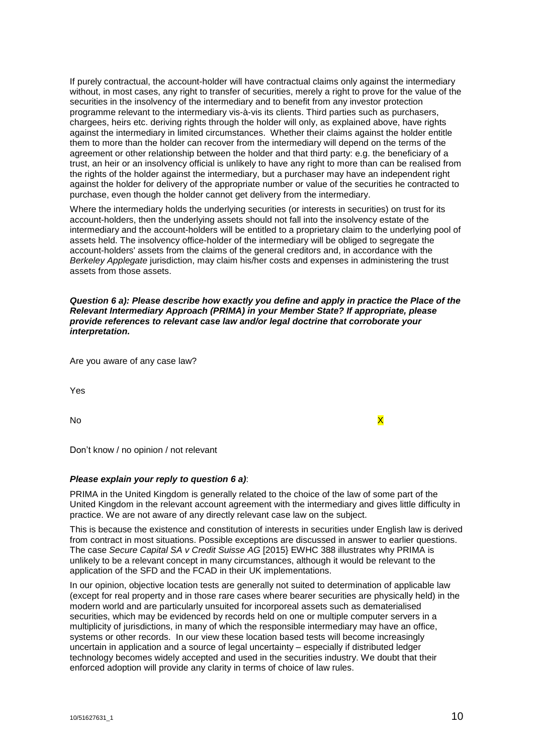If purely contractual, the account-holder will have contractual claims only against the intermediary without, in most cases, any right to transfer of securities, merely a right to prove for the value of the securities in the insolvency of the intermediary and to benefit from any investor protection programme relevant to the intermediary vis-à-vis its clients. Third parties such as purchasers, chargees, heirs etc. deriving rights through the holder will only, as explained above, have rights against the intermediary in limited circumstances. Whether their claims against the holder entitle them to more than the holder can recover from the intermediary will depend on the terms of the agreement or other relationship between the holder and that third party: e.g. the beneficiary of a trust, an heir or an insolvency official is unlikely to have any right to more than can be realised from the rights of the holder against the intermediary, but a purchaser may have an independent right against the holder for delivery of the appropriate number or value of the securities he contracted to purchase, even though the holder cannot get delivery from the intermediary.

Where the intermediary holds the underlying securities (or interests in securities) on trust for its account-holders, then the underlying assets should not fall into the insolvency estate of the intermediary and the account-holders will be entitled to a proprietary claim to the underlying pool of assets held. The insolvency office-holder of the intermediary will be obliged to segregate the account-holders' assets from the claims of the general creditors and, in accordance with the *Berkeley Applegate* jurisdiction, may claim his/her costs and expenses in administering the trust assets from those assets.

*Question 6 a): Please describe how exactly you define and apply in practice the Place of the Relevant Intermediary Approach (PRIMA) in your Member State? If appropriate, please provide references to relevant case law and/or legal doctrine that corroborate your interpretation.*

Are you aware of any case law?

Yes

No the contract of the contract of the contract of the contract of the contract of the contract of the contract of the contract of the contract of the contract of the contract of the contract of the contract of the contrac

Don't know / no opinion / not relevant

#### *Please explain your reply to question 6 a)*:

PRIMA in the United Kingdom is generally related to the choice of the law of some part of the United Kingdom in the relevant account agreement with the intermediary and gives little difficulty in practice. We are not aware of any directly relevant case law on the subject.

This is because the existence and constitution of interests in securities under English law is derived from contract in most situations. Possible exceptions are discussed in answer to earlier questions. The case *Secure Capital SA v Credit Suisse AG* [2015} EWHC 388 illustrates why PRIMA is unlikely to be a relevant concept in many circumstances, although it would be relevant to the application of the SFD and the FCAD in their UK implementations.

In our opinion, objective location tests are generally not suited to determination of applicable law (except for real property and in those rare cases where bearer securities are physically held) in the modern world and are particularly unsuited for incorporeal assets such as dematerialised securities, which may be evidenced by records held on one or multiple computer servers in a multiplicity of jurisdictions, in many of which the responsible intermediary may have an office, systems or other records. In our view these location based tests will become increasingly uncertain in application and a source of legal uncertainty – especially if distributed ledger technology becomes widely accepted and used in the securities industry. We doubt that their enforced adoption will provide any clarity in terms of choice of law rules.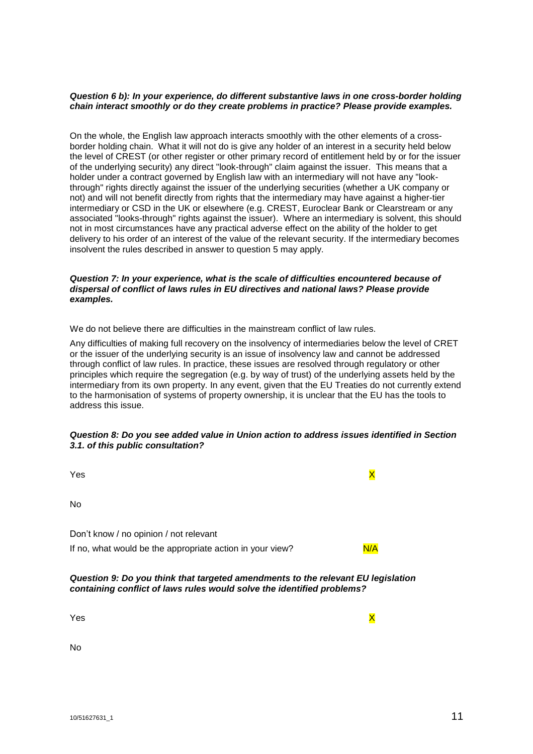#### *Question 6 b): In your experience, do different substantive laws in one cross-border holding chain interact smoothly or do they create problems in practice? Please provide examples.*

On the whole, the English law approach interacts smoothly with the other elements of a crossborder holding chain. What it will not do is give any holder of an interest in a security held below the level of CREST (or other register or other primary record of entitlement held by or for the issuer of the underlying security) any direct "look-through" claim against the issuer. This means that a holder under a contract governed by English law with an intermediary will not have any "lookthrough" rights directly against the issuer of the underlying securities (whether a UK company or not) and will not benefit directly from rights that the intermediary may have against a higher-tier intermediary or CSD in the UK or elsewhere (e.g. CREST, Euroclear Bank or Clearstream or any associated "looks-through" rights against the issuer). Where an intermediary is solvent, this should not in most circumstances have any practical adverse effect on the ability of the holder to get delivery to his order of an interest of the value of the relevant security. If the intermediary becomes insolvent the rules described in answer to question 5 may apply.

# *Question 7: In your experience, what is the scale of difficulties encountered because of dispersal of conflict of laws rules in EU directives and national laws? Please provide examples.*

We do not believe there are difficulties in the mainstream conflict of law rules.

Any difficulties of making full recovery on the insolvency of intermediaries below the level of CRET or the issuer of the underlying security is an issue of insolvency law and cannot be addressed through conflict of law rules. In practice, these issues are resolved through regulatory or other principles which require the segregation (e.g. by way of trust) of the underlying assets held by the intermediary from its own property. In any event, given that the EU Treaties do not currently extend to the harmonisation of systems of property ownership, it is unclear that the EU has the tools to address this issue.

# *Question 8: Do you see added value in Union action to address issues identified in Section 3.1. of this public consultation?*

| Yes                                                                                                                                                        |     |
|------------------------------------------------------------------------------------------------------------------------------------------------------------|-----|
| N <sub>0</sub>                                                                                                                                             |     |
| Don't know / no opinion / not relevant<br>If no, what would be the appropriate action in your view?                                                        | N/A |
| Question 9: Do you think that targeted amendments to the relevant EU legislation<br>containing conflict of laws rules would solve the identified problems? |     |

Yes and the contract of the contract of the contract of the contract of the contract of the contract of the contract of the contract of the contract of the contract of the contract of the contract of the contract of the co

No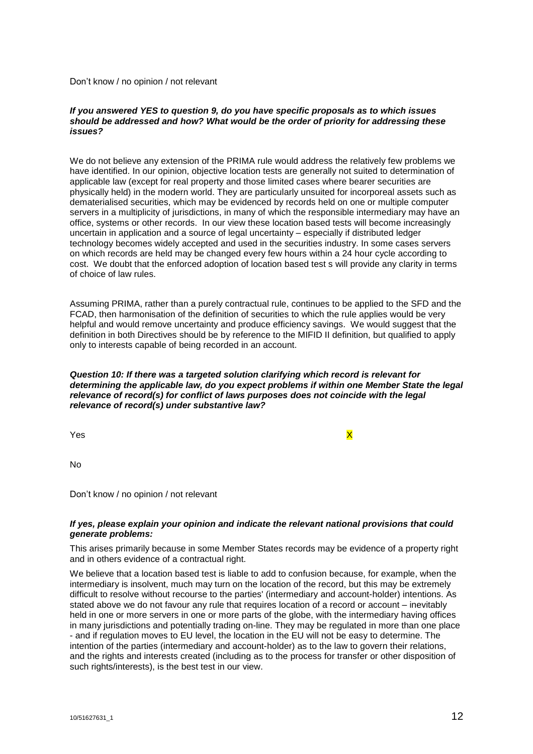Don't know / no opinion / not relevant

## *If you answered YES to question 9, do you have specific proposals as to which issues should be addressed and how? What would be the order of priority for addressing these issues?*

We do not believe any extension of the PRIMA rule would address the relatively few problems we have identified. In our opinion, objective location tests are generally not suited to determination of applicable law (except for real property and those limited cases where bearer securities are physically held) in the modern world. They are particularly unsuited for incorporeal assets such as dematerialised securities, which may be evidenced by records held on one or multiple computer servers in a multiplicity of jurisdictions, in many of which the responsible intermediary may have an office, systems or other records. In our view these location based tests will become increasingly uncertain in application and a source of legal uncertainty – especially if distributed ledger technology becomes widely accepted and used in the securities industry. In some cases servers on which records are held may be changed every few hours within a 24 hour cycle according to cost. We doubt that the enforced adoption of location based test s will provide any clarity in terms of choice of law rules.

Assuming PRIMA, rather than a purely contractual rule, continues to be applied to the SFD and the FCAD, then harmonisation of the definition of securities to which the rule applies would be very helpful and would remove uncertainty and produce efficiency savings. We would suggest that the definition in both Directives should be by reference to the MIFID II definition, but qualified to apply only to interests capable of being recorded in an account.

#### *Question 10: If there was a targeted solution clarifying which record is relevant for determining the applicable law, do you expect problems if within one Member State the legal relevance of record(s) for conflict of laws purposes does not coincide with the legal relevance of record(s) under substantive law?*

Yes and the set of the set of the set of the set of the set of the set of the set of the set of the set of the

No

Don't know / no opinion / not relevant

# *If yes, please explain your opinion and indicate the relevant national provisions that could generate problems:*

This arises primarily because in some Member States records may be evidence of a property right and in others evidence of a contractual right.

We believe that a location based test is liable to add to confusion because, for example, when the intermediary is insolvent, much may turn on the location of the record, but this may be extremely difficult to resolve without recourse to the parties' (intermediary and account-holder) intentions. As stated above we do not favour any rule that requires location of a record or account – inevitably held in one or more servers in one or more parts of the globe, with the intermediary having offices in many jurisdictions and potentially trading on-line. They may be regulated in more than one place - and if regulation moves to EU level, the location in the EU will not be easy to determine. The intention of the parties (intermediary and account-holder) as to the law to govern their relations, and the rights and interests created (including as to the process for transfer or other disposition of such rights/interests), is the best test in our view.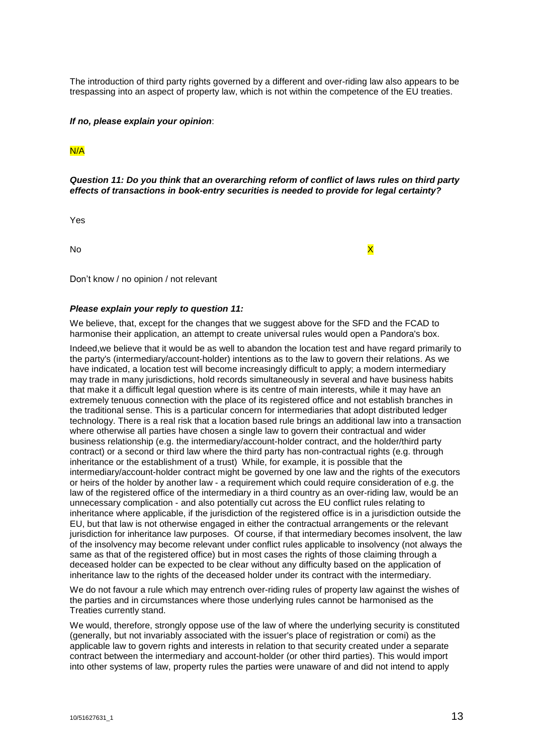The introduction of third party rights governed by a different and over-riding law also appears to be trespassing into an aspect of property law, which is not within the competence of the EU treaties.

#### *If no, please explain your opinion*:

# N/A

*Question 11: Do you think that an overarching reform of conflict of laws rules on third party effects of transactions in book-entry securities is needed to provide for legal certainty?*

Yes

No and the second contract of the second contract of the second contract of the second contract of  $\times$ 

Don't know / no opinion / not relevant

## *Please explain your reply to question 11:*

We believe, that, except for the changes that we suggest above for the SFD and the FCAD to harmonise their application, an attempt to create universal rules would open a Pandora's box.

Indeed,we believe that it would be as well to abandon the location test and have regard primarily to the party's (intermediary/account-holder) intentions as to the law to govern their relations. As we have indicated, a location test will become increasingly difficult to apply; a modern intermediary may trade in many jurisdictions, hold records simultaneously in several and have business habits that make it a difficult legal question where is its centre of main interests, while it may have an extremely tenuous connection with the place of its registered office and not establish branches in the traditional sense. This is a particular concern for intermediaries that adopt distributed ledger technology. There is a real risk that a location based rule brings an additional law into a transaction where otherwise all parties have chosen a single law to govern their contractual and wider business relationship (e.g. the intermediary/account-holder contract, and the holder/third party contract) or a second or third law where the third party has non-contractual rights (e.g. through inheritance or the establishment of a trust) While, for example, it is possible that the intermediary/account-holder contract might be governed by one law and the rights of the executors or heirs of the holder by another law - a requirement which could require consideration of e.g. the law of the registered office of the intermediary in a third country as an over-riding law, would be an unnecessary complication - and also potentially cut across the EU conflict rules relating to inheritance where applicable, if the jurisdiction of the registered office is in a jurisdiction outside the EU, but that law is not otherwise engaged in either the contractual arrangements or the relevant jurisdiction for inheritance law purposes. Of course, if that intermediary becomes insolvent, the law of the insolvency may become relevant under conflict rules applicable to insolvency (not always the same as that of the registered office) but in most cases the rights of those claiming through a deceased holder can be expected to be clear without any difficulty based on the application of inheritance law to the rights of the deceased holder under its contract with the intermediary.

We do not favour a rule which may entrench over-riding rules of property law against the wishes of the parties and in circumstances where those underlying rules cannot be harmonised as the Treaties currently stand.

We would, therefore, strongly oppose use of the law of where the underlying security is constituted (generally, but not invariably associated with the issuer's place of registration or comi) as the applicable law to govern rights and interests in relation to that security created under a separate contract between the intermediary and account-holder (or other third parties). This would import into other systems of law, property rules the parties were unaware of and did not intend to apply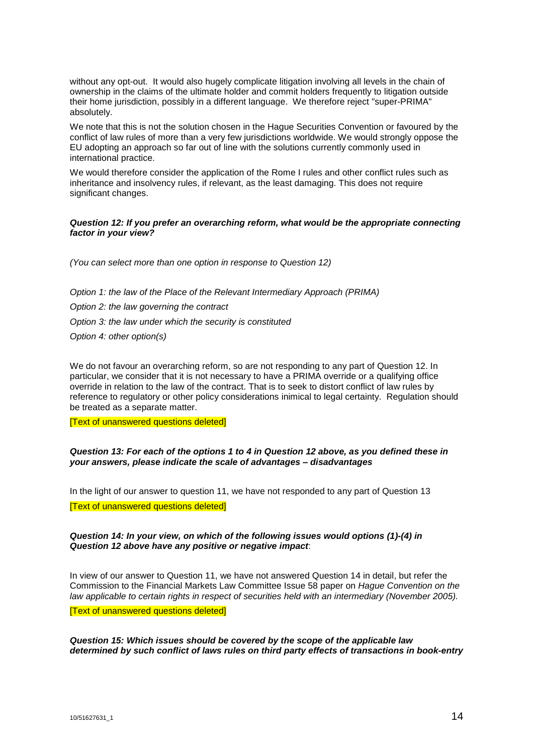without any opt-out. It would also hugely complicate litigation involving all levels in the chain of ownership in the claims of the ultimate holder and commit holders frequently to litigation outside their home jurisdiction, possibly in a different language. We therefore reject "super-PRIMA" absolutely.

We note that this is not the solution chosen in the Hague Securities Convention or favoured by the conflict of law rules of more than a very few jurisdictions worldwide. We would strongly oppose the EU adopting an approach so far out of line with the solutions currently commonly used in international practice.

We would therefore consider the application of the Rome I rules and other conflict rules such as inheritance and insolvency rules, if relevant, as the least damaging. This does not require significant changes.

# *Question 12: If you prefer an overarching reform, what would be the appropriate connecting factor in your view?*

*(You can select more than one option in response to Question 12)*

*Option 1: the law of the Place of the Relevant Intermediary Approach (PRIMA) Option 2: the law governing the contract Option 3: the law under which the security is constituted Option 4: other option(s)*

We do not favour an overarching reform, so are not responding to any part of Question 12. In particular, we consider that it is not necessary to have a PRIMA override or a qualifying office override in relation to the law of the contract. That is to seek to distort conflict of law rules by reference to regulatory or other policy considerations inimical to legal certainty. Regulation should be treated as a separate matter.

[Text of unanswered questions deleted]

# *Question 13: For each of the options 1 to 4 in Question 12 above, as you defined these in your answers, please indicate the scale of advantages – disadvantages*

In the light of our answer to question 11, we have not responded to any part of Question 13 [Text of unanswered questions deleted]

#### *Question 14: In your view, on which of the following issues would options (1)-(4) in Question 12 above have any positive or negative impact*:

In view of our answer to Question 11, we have not answered Question 14 in detail, but refer the Commission to the Financial Markets Law Committee Issue 58 paper on *Hague Convention on the law applicable to certain rights in respect of securities held with an intermediary (November 2005).*

[Text of unanswered questions deleted]

*Question 15: Which issues should be covered by the scope of the applicable law determined by such conflict of laws rules on third party effects of transactions in book-entry*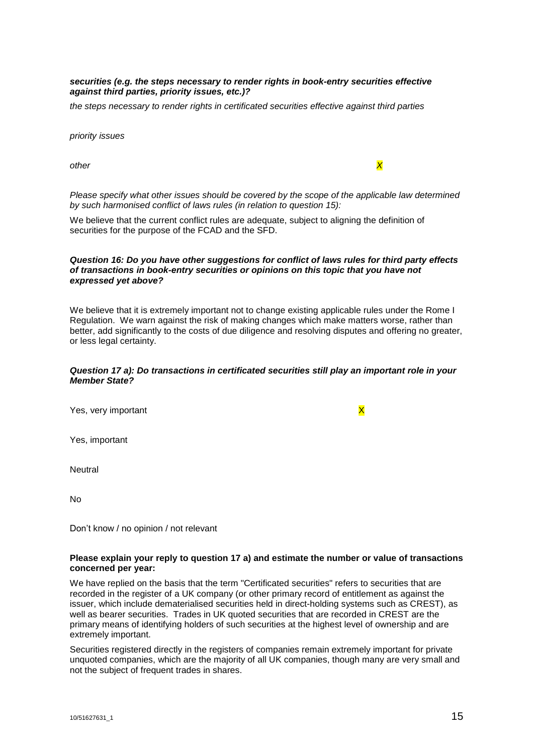# *securities (e.g. the steps necessary to render rights in book-entry securities effective against third parties, priority issues, etc.)?*

*the steps necessary to render rights in certificated securities effective against third parties*

*priority issues*

other *X* 

*Please specify what other issues should be covered by the scope of the applicable law determined by such harmonised conflict of laws rules (in relation to question 15):*

We believe that the current conflict rules are adequate, subject to aligning the definition of securities for the purpose of the FCAD and the SFD.

## *Question 16: Do you have other suggestions for conflict of laws rules for third party effects of transactions in book-entry securities or opinions on this topic that you have not expressed yet above?*

We believe that it is extremely important not to change existing applicable rules under the Rome I Regulation. We warn against the risk of making changes which make matters worse, rather than better, add significantly to the costs of due diligence and resolving disputes and offering no greater, or less legal certainty.

# *Question 17 a): Do transactions in certificated securities still play an important role in your Member State?*

| Yes, very important | $\overline{\mathsf{x}}$ |
|---------------------|-------------------------|
| Yes, important      |                         |
| Neutral             |                         |
| No                  |                         |

Don't know / no opinion / not relevant

#### **Please explain your reply to question 17 a) and estimate the number or value of transactions concerned per year:**

We have replied on the basis that the term "Certificated securities" refers to securities that are recorded in the register of a UK company (or other primary record of entitlement as against the issuer, which include dematerialised securities held in direct-holding systems such as CREST), as well as bearer securities. Trades in UK quoted securities that are recorded in CREST are the primary means of identifying holders of such securities at the highest level of ownership and are extremely important.

Securities registered directly in the registers of companies remain extremely important for private unquoted companies, which are the majority of all UK companies, though many are very small and not the subject of frequent trades in shares.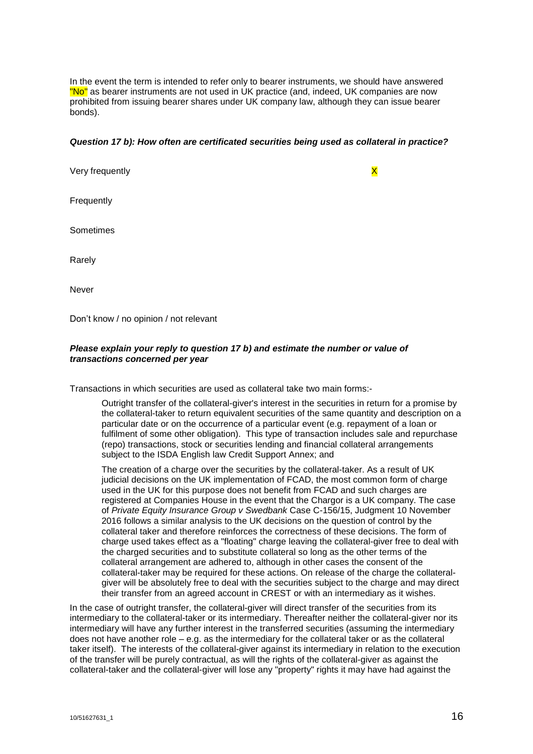In the event the term is intended to refer only to bearer instruments, we should have answered "No" as bearer instruments are not used in UK practice (and, indeed, UK companies are now prohibited from issuing bearer shares under UK company law, although they can issue bearer bonds).

#### *Question 17 b): How often are certificated securities being used as collateral in practice?*

Very frequently **X** 

**Frequently** 

**Sometimes** 

Rarely

Never

Don't know / no opinion / not relevant

# *Please explain your reply to question 17 b) and estimate the number or value of transactions concerned per year*

Transactions in which securities are used as collateral take two main forms:-

Outright transfer of the collateral-giver's interest in the securities in return for a promise by the collateral-taker to return equivalent securities of the same quantity and description on a particular date or on the occurrence of a particular event (e.g. repayment of a loan or fulfilment of some other obligation). This type of transaction includes sale and repurchase (repo) transactions, stock or securities lending and financial collateral arrangements subject to the ISDA English law Credit Support Annex; and

The creation of a charge over the securities by the collateral-taker. As a result of UK judicial decisions on the UK implementation of FCAD, the most common form of charge used in the UK for this purpose does not benefit from FCAD and such charges are registered at Companies House in the event that the Chargor is a UK company. The case of *Private Equity Insurance Group v Swedbank* Case C-156/15, Judgment 10 November 2016 follows a similar analysis to the UK decisions on the question of control by the collateral taker and therefore reinforces the correctness of these decisions. The form of charge used takes effect as a "floating" charge leaving the collateral-giver free to deal with the charged securities and to substitute collateral so long as the other terms of the collateral arrangement are adhered to, although in other cases the consent of the collateral-taker may be required for these actions. On release of the charge the collateralgiver will be absolutely free to deal with the securities subject to the charge and may direct their transfer from an agreed account in CREST or with an intermediary as it wishes.

In the case of outright transfer, the collateral-giver will direct transfer of the securities from its intermediary to the collateral-taker or its intermediary. Thereafter neither the collateral-giver nor its intermediary will have any further interest in the transferred securities (assuming the intermediary does not have another role – e.g. as the intermediary for the collateral taker or as the collateral taker itself). The interests of the collateral-giver against its intermediary in relation to the execution of the transfer will be purely contractual, as will the rights of the collateral-giver as against the collateral-taker and the collateral-giver will lose any "property" rights it may have had against the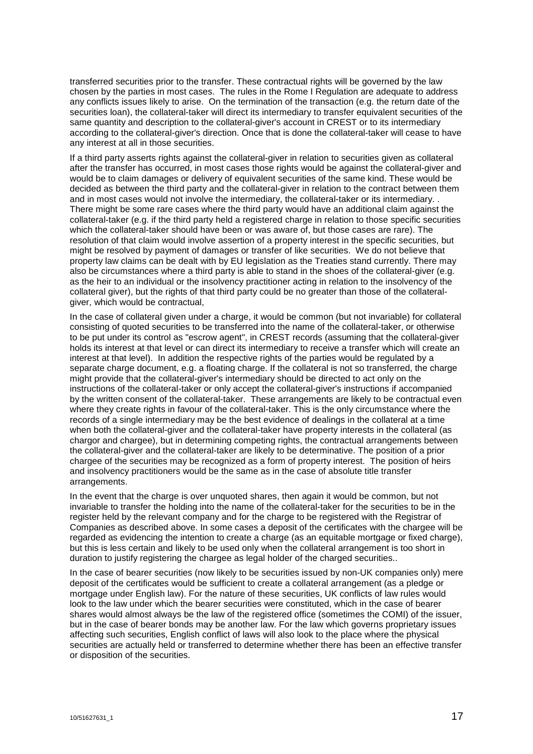transferred securities prior to the transfer. These contractual rights will be governed by the law chosen by the parties in most cases. The rules in the Rome I Regulation are adequate to address any conflicts issues likely to arise. On the termination of the transaction (e.g. the return date of the securities loan), the collateral-taker will direct its intermediary to transfer equivalent securities of the same quantity and description to the collateral-giver's account in CREST or to its intermediary according to the collateral-giver's direction. Once that is done the collateral-taker will cease to have any interest at all in those securities.

If a third party asserts rights against the collateral-giver in relation to securities given as collateral after the transfer has occurred, in most cases those rights would be against the collateral-giver and would be to claim damages or delivery of equivalent securities of the same kind. These would be decided as between the third party and the collateral-giver in relation to the contract between them and in most cases would not involve the intermediary, the collateral-taker or its intermediary. . There might be some rare cases where the third party would have an additional claim against the collateral-taker (e.g. if the third party held a registered charge in relation to those specific securities which the collateral-taker should have been or was aware of, but those cases are rare). The resolution of that claim would involve assertion of a property interest in the specific securities, but might be resolved by payment of damages or transfer of like securities. We do not believe that property law claims can be dealt with by EU legislation as the Treaties stand currently. There may also be circumstances where a third party is able to stand in the shoes of the collateral-giver (e.g. as the heir to an individual or the insolvency practitioner acting in relation to the insolvency of the collateral giver), but the rights of that third party could be no greater than those of the collateralgiver, which would be contractual,

In the case of collateral given under a charge, it would be common (but not invariable) for collateral consisting of quoted securities to be transferred into the name of the collateral-taker, or otherwise to be put under its control as "escrow agent", in CREST records (assuming that the collateral-giver holds its interest at that level or can direct its intermediary to receive a transfer which will create an interest at that level). In addition the respective rights of the parties would be regulated by a separate charge document, e.g. a floating charge. If the collateral is not so transferred, the charge might provide that the collateral-giver's intermediary should be directed to act only on the instructions of the collateral-taker or only accept the collateral-giver's instructions if accompanied by the written consent of the collateral-taker. These arrangements are likely to be contractual even where they create rights in favour of the collateral-taker. This is the only circumstance where the records of a single intermediary may be the best evidence of dealings in the collateral at a time when both the collateral-giver and the collateral-taker have property interests in the collateral (as chargor and chargee), but in determining competing rights, the contractual arrangements between the collateral-giver and the collateral-taker are likely to be determinative. The position of a prior chargee of the securities may be recognized as a form of property interest. The position of heirs and insolvency practitioners would be the same as in the case of absolute title transfer arrangements.

In the event that the charge is over unquoted shares, then again it would be common, but not invariable to transfer the holding into the name of the collateral-taker for the securities to be in the register held by the relevant company and for the charge to be registered with the Registrar of Companies as described above. In some cases a deposit of the certificates with the chargee will be regarded as evidencing the intention to create a charge (as an equitable mortgage or fixed charge), but this is less certain and likely to be used only when the collateral arrangement is too short in duration to justify registering the chargee as legal holder of the charged securities..

In the case of bearer securities (now likely to be securities issued by non-UK companies only) mere deposit of the certificates would be sufficient to create a collateral arrangement (as a pledge or mortgage under English law). For the nature of these securities, UK conflicts of law rules would look to the law under which the bearer securities were constituted, which in the case of bearer shares would almost always be the law of the registered office (sometimes the COMI) of the issuer, but in the case of bearer bonds may be another law. For the law which governs proprietary issues affecting such securities, English conflict of laws will also look to the place where the physical securities are actually held or transferred to determine whether there has been an effective transfer or disposition of the securities.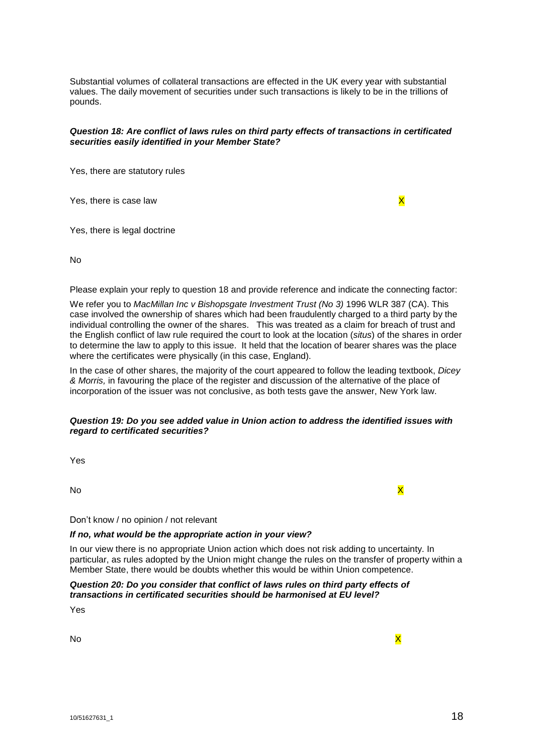Substantial volumes of collateral transactions are effected in the UK every year with substantial values. The daily movement of securities under such transactions is likely to be in the trillions of pounds.

# *Question 18: Are conflict of laws rules on third party effects of transactions in certificated securities easily identified in your Member State?*

Yes, there are statutory rules

Yes, there is case law  $\mathsf{X}$ 

Yes, there is legal doctrine

No

Please explain your reply to question 18 and provide reference and indicate the connecting factor:

We refer you to *MacMillan Inc v Bishopsgate Investment Trust (No 3)* 1996 WLR 387 (CA). This case involved the ownership of shares which had been fraudulently charged to a third party by the individual controlling the owner of the shares. This was treated as a claim for breach of trust and the English conflict of law rule required the court to look at the location (*situs*) of the shares in order to determine the law to apply to this issue. It held that the location of bearer shares was the place where the certificates were physically (in this case, England).

In the case of other shares, the majority of the court appeared to follow the leading textbook, *Dicey & Morris,* in favouring the place of the register and discussion of the alternative of the place of incorporation of the issuer was not conclusive, as both tests gave the answer, New York law.

# *Question 19: Do you see added value in Union action to address the identified issues with regard to certificated securities?*

Yes

No the contract of the contract of the contract of the contract of the contract of the contract of the contract of the contract of the contract of the contract of the contract of the contract of the contract of the contrac

Don't know / no opinion / not relevant

#### *If no, what would be the appropriate action in your view?*

In our view there is no appropriate Union action which does not risk adding to uncertainty. In particular, as rules adopted by the Union might change the rules on the transfer of property within a Member State, there would be doubts whether this would be within Union competence.

*Question 20: Do you consider that conflict of laws rules on third party effects of transactions in certificated securities should be harmonised at EU level?*

Yes

No the contract of the contract of the contract of the contract of the contract of the contract of the contract of the contract of the contract of the contract of the contract of the contract of the contract of the contrac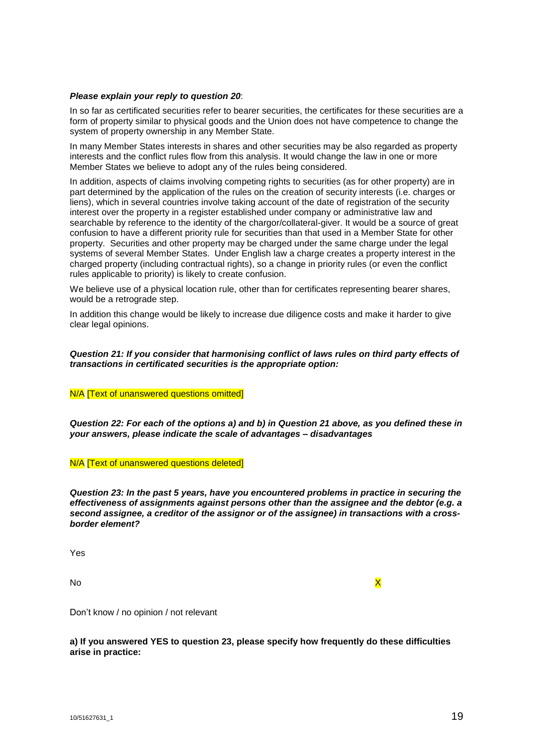#### *Please explain your reply to question 20*:

In so far as certificated securities refer to bearer securities, the certificates for these securities are a form of property similar to physical goods and the Union does not have competence to change the system of property ownership in any Member State.

In many Member States interests in shares and other securities may be also regarded as property interests and the conflict rules flow from this analysis. It would change the law in one or more Member States we believe to adopt any of the rules being considered.

In addition, aspects of claims involving competing rights to securities (as for other property) are in part determined by the application of the rules on the creation of security interests (i.e. charges or liens), which in several countries involve taking account of the date of registration of the security interest over the property in a register established under company or administrative law and searchable by reference to the identity of the chargor/collateral-giver. It would be a source of great confusion to have a different priority rule for securities than that used in a Member State for other property. Securities and other property may be charged under the same charge under the legal systems of several Member States. Under English law a charge creates a property interest in the charged property (including contractual rights), so a change in priority rules (or even the conflict rules applicable to priority) is likely to create confusion.

We believe use of a physical location rule, other than for certificates representing bearer shares, would be a retrograde step.

In addition this change would be likely to increase due diligence costs and make it harder to give clear legal opinions.

#### *Question 21: If you consider that harmonising conflict of laws rules on third party effects of transactions in certificated securities is the appropriate option:*

N/A [Text of unanswered questions omitted]

Question 22: For each of the options a) and b) in Question 21 above, as you defined these in *your answers, please indicate the scale of advantages – disadvantages*

N/A [Text of unanswered questions deleted]

*Question 23: In the past 5 years, have you encountered problems in practice in securing the effectiveness of assignments against persons other than the assignee and the debtor (e.g. a second assignee, a creditor of the assignor or of the assignee) in transactions with a crossborder element?*

Yes

No the contract of the contract of the contract of the contract of the contract of the contract of the contract of the contract of the contract of the contract of the contract of the contract of the contract of the contrac

Don't know / no opinion / not relevant

**a) If you answered YES to question 23, please specify how frequently do these difficulties arise in practice:**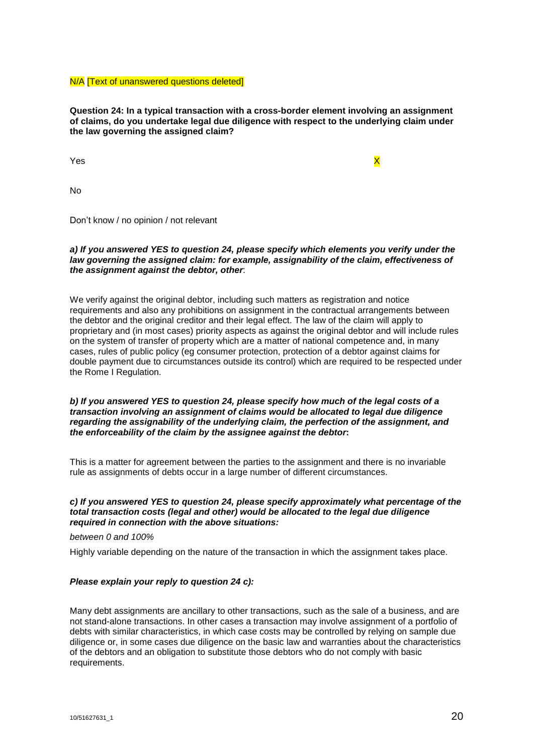N/A [Text of unanswered questions deleted]

**Question 24: In a typical transaction with a cross-border element involving an assignment of claims, do you undertake legal due diligence with respect to the underlying claim under the law governing the assigned claim?**

Yes and the contract of the contract of the contract of the contract of the contract of the contract of the contract of the contract of the contract of the contract of the contract of the contract of the contract of the co

No

Don't know / no opinion / not relevant

# *a) If you answered YES to question 24, please specify which elements you verify under the law governing the assigned claim: for example, assignability of the claim, effectiveness of the assignment against the debtor, other*:

We verify against the original debtor, including such matters as registration and notice requirements and also any prohibitions on assignment in the contractual arrangements between the debtor and the original creditor and their legal effect. The law of the claim will apply to proprietary and (in most cases) priority aspects as against the original debtor and will include rules on the system of transfer of property which are a matter of national competence and, in many cases, rules of public policy (eg consumer protection, protection of a debtor against claims for double payment due to circumstances outside its control) which are required to be respected under the Rome I Regulation.

#### *b) If you answered YES to question 24, please specify how much of the legal costs of a transaction involving an assignment of claims would be allocated to legal due diligence regarding the assignability of the underlying claim, the perfection of the assignment, and the enforceability of the claim by the assignee against the debtor***:**

This is a matter for agreement between the parties to the assignment and there is no invariable rule as assignments of debts occur in a large number of different circumstances.

#### *c) If you answered YES to question 24, please specify approximately what percentage of the total transaction costs (legal and other) would be allocated to the legal due diligence required in connection with the above situations:*

*between 0 and 100%*

Highly variable depending on the nature of the transaction in which the assignment takes place.

#### *Please explain your reply to question 24 c):*

Many debt assignments are ancillary to other transactions, such as the sale of a business, and are not stand-alone transactions. In other cases a transaction may involve assignment of a portfolio of debts with similar characteristics, in which case costs may be controlled by relying on sample due diligence or, in some cases due diligence on the basic law and warranties about the characteristics of the debtors and an obligation to substitute those debtors who do not comply with basic requirements.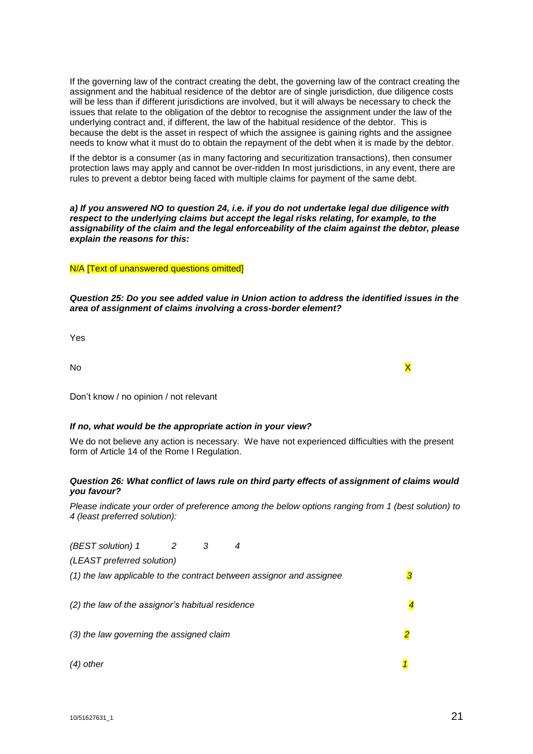If the governing law of the contract creating the debt, the governing law of the contract creating the assignment and the habitual residence of the debtor are of single jurisdiction, due diligence costs will be less than if different jurisdictions are involved, but it will always be necessary to check the issues that relate to the obligation of the debtor to recognise the assignment under the law of the underlying contract and, if different, the law of the habitual residence of the debtor. This is because the debt is the asset in respect of which the assignee is gaining rights and the assignee needs to know what it must do to obtain the repayment of the debt when it is made by the debtor.

If the debtor is a consumer (as in many factoring and securitization transactions), then consumer protection laws may apply and cannot be over-ridden In most jurisdictions, in any event, there are rules to prevent a debtor being faced with multiple claims for payment of the same debt.

*a) If you answered NO to question 24, i.e. if you do not undertake legal due diligence with respect to the underlying claims but accept the legal risks relating, for example, to the assignability of the claim and the legal enforceability of the claim against the debtor, please explain the reasons for this:*

#### N/A [Text of unanswered questions omitted]

*Question 25: Do you see added value in Union action to address the identified issues in the area of assignment of claims involving a cross-border element?*

Yes

No the contract of the contract of the contract of the contract of the contract of the contract of the contract of the contract of the contract of the contract of the contract of the contract of the contract of the contrac

Don't know / no opinion / not relevant

# *If no, what would be the appropriate action in your view?*

We do not believe any action is necessary. We have not experienced difficulties with the present form of Article 14 of the Rome I Regulation.

# *Question 26: What conflict of laws rule on third party effects of assignment of claims would you favour?*

*Please indicate your order of preference among the below options ranging from 1 (best solution) to 4 (least preferred solution):*

| (BEST solution) 1                                                    | 2 | 4 |  |  |
|----------------------------------------------------------------------|---|---|--|--|
| (LEAST preferred solution)                                           |   |   |  |  |
| (1) the law applicable to the contract between assignor and assignee |   |   |  |  |
|                                                                      |   |   |  |  |
| (2) the law of the assignor's habitual residence                     |   |   |  |  |
|                                                                      |   |   |  |  |
| (3) the law governing the assigned claim                             |   |   |  |  |
|                                                                      |   |   |  |  |
| $(4)$ other                                                          |   |   |  |  |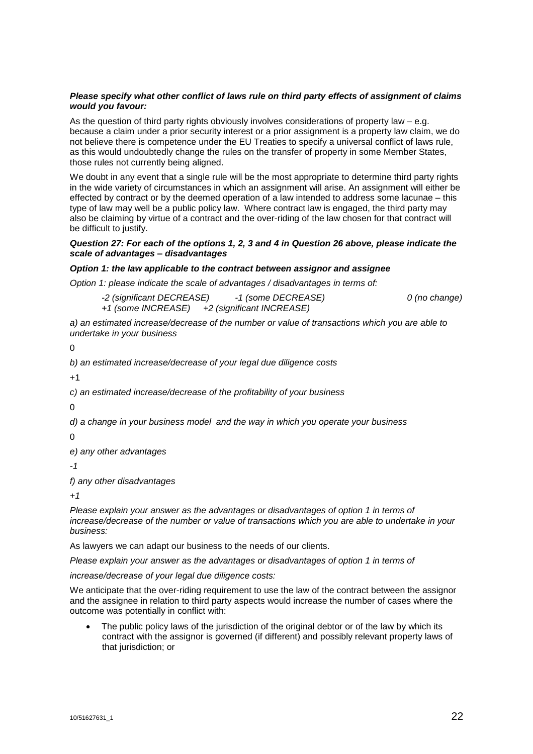## *Please specify what other conflict of laws rule on third party effects of assignment of claims would you favour:*

As the question of third party rights obviously involves considerations of property law – e.g. because a claim under a prior security interest or a prior assignment is a property law claim, we do not believe there is competence under the EU Treaties to specify a universal conflict of laws rule, as this would undoubtedly change the rules on the transfer of property in some Member States, those rules not currently being aligned.

We doubt in any event that a single rule will be the most appropriate to determine third party rights in the wide variety of circumstances in which an assignment will arise. An assignment will either be effected by contract or by the deemed operation of a law intended to address some lacunae – this type of law may well be a public policy law. Where contract law is engaged, the third party may also be claiming by virtue of a contract and the over-riding of the law chosen for that contract will be difficult to justify.

# Question 27: For each of the options 1, 2, 3 and 4 in Question 26 above, please indicate the *scale of advantages – disadvantages*

# *Option 1: the law applicable to the contract between assignor and assignee*

*Option 1: please indicate the scale of advantages / disadvantages in terms of:*

*-2 (significant DECREASE) -1 (some DECREASE) 0 (no change) +1 (some INCREASE) +2 (significant INCREASE)*

*a) an estimated increase/decrease of the number or value of transactions which you are able to undertake in your business*

 $\Omega$ 

*b) an estimated increase/decrease of your legal due diligence costs*

 $+1$ 

*c) an estimated increase/decrease of the profitability of your business*

 $\Omega$ 

*d) a change in your business model and the way in which you operate your business*

0

*e) any other advantages*

*-1*

*f) any other disadvantages*

*+1*

*Please explain your answer as the advantages or disadvantages of option 1 in terms of increase/decrease of the number or value of transactions which you are able to undertake in your business:*

As lawyers we can adapt our business to the needs of our clients.

*Please explain your answer as the advantages or disadvantages of option 1 in terms of*

*increase/decrease of your legal due diligence costs:*

We anticipate that the over-riding requirement to use the law of the contract between the assignor and the assignee in relation to third party aspects would increase the number of cases where the outcome was potentially in conflict with:

 The public policy laws of the jurisdiction of the original debtor or of the law by which its contract with the assignor is governed (if different) and possibly relevant property laws of that jurisdiction; or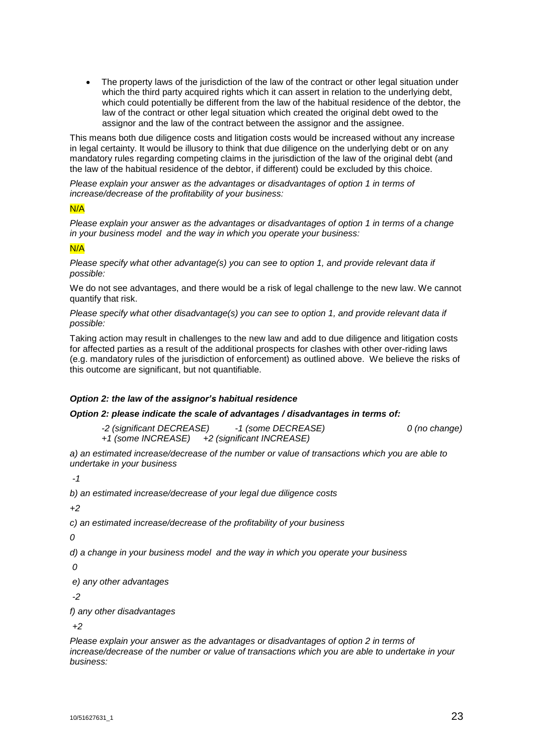The property laws of the jurisdiction of the law of the contract or other legal situation under which the third party acquired rights which it can assert in relation to the underlying debt, which could potentially be different from the law of the habitual residence of the debtor, the law of the contract or other legal situation which created the original debt owed to the assignor and the law of the contract between the assignor and the assignee.

This means both due diligence costs and litigation costs would be increased without any increase in legal certainty. It would be illusory to think that due diligence on the underlying debt or on any mandatory rules regarding competing claims in the jurisdiction of the law of the original debt (and the law of the habitual residence of the debtor, if different) could be excluded by this choice.

*Please explain your answer as the advantages or disadvantages of option 1 in terms of increase/decrease of the profitability of your business:*

# N/A

*Please explain your answer as the advantages or disadvantages of option 1 in terms of a change in your business model and the way in which you operate your business:*

#### N/A

*Please specify what other advantage(s) you can see to option 1, and provide relevant data if possible:*

We do not see advantages, and there would be a risk of legal challenge to the new law. We cannot quantify that risk.

*Please specify what other disadvantage(s) you can see to option 1, and provide relevant data if possible:*

Taking action may result in challenges to the new law and add to due diligence and litigation costs for affected parties as a result of the additional prospects for clashes with other over-riding laws (e.g. mandatory rules of the jurisdiction of enforcement) as outlined above. We believe the risks of this outcome are significant, but not quantifiable.

# *Option 2: the law of the assignor's habitual residence*

#### *Option 2: please indicate the scale of advantages / disadvantages in terms of:*

*-2 (significant DECREASE) -1 (some DECREASE) 0 (no change) +1 (some INCREASE) +2 (significant INCREASE)*

*a) an estimated increase/decrease of the number or value of transactions which you are able to undertake in your business*

*-1*

*b) an estimated increase/decrease of your legal due diligence costs*

*+2*

*c) an estimated increase/decrease of the profitability of your business*

*0*

*d) a change in your business model and the way in which you operate your business*

*0*

*e) any other advantages*

*-2*

*f) any other disadvantages*

*+2*

*Please explain your answer as the advantages or disadvantages of option 2 in terms of increase/decrease of the number or value of transactions which you are able to undertake in your business:*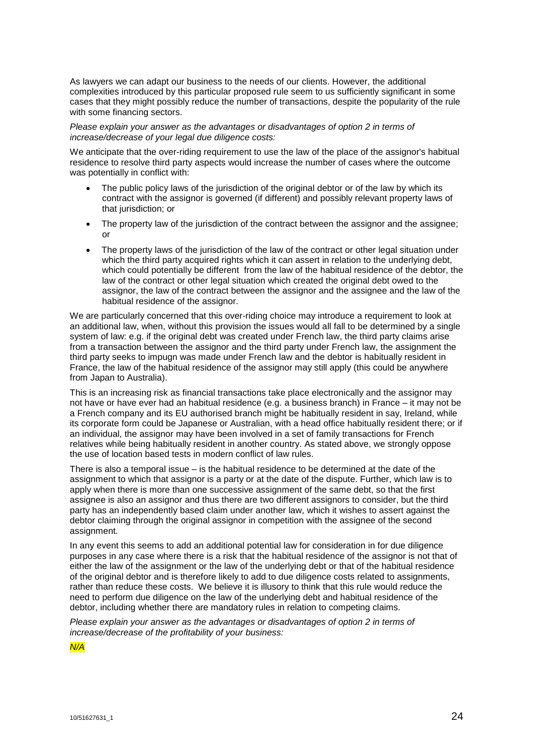As lawyers we can adapt our business to the needs of our clients. However, the additional complexities introduced by this particular proposed rule seem to us sufficiently significant in some cases that they might possibly reduce the number of transactions, despite the popularity of the rule with some financing sectors.

#### *Please explain your answer as the advantages or disadvantages of option 2 in terms of increase/decrease of your legal due diligence costs:*

We anticipate that the over-riding requirement to use the law of the place of the assignor's habitual residence to resolve third party aspects would increase the number of cases where the outcome was potentially in conflict with:

- The public policy laws of the jurisdiction of the original debtor or of the law by which its contract with the assignor is governed (if different) and possibly relevant property laws of that jurisdiction; or
- The property law of the jurisdiction of the contract between the assignor and the assignee; or
- The property laws of the jurisdiction of the law of the contract or other legal situation under which the third party acquired rights which it can assert in relation to the underlying debt, which could potentially be different from the law of the habitual residence of the debtor, the law of the contract or other legal situation which created the original debt owed to the assignor, the law of the contract between the assignor and the assignee and the law of the habitual residence of the assignor.

We are particularly concerned that this over-riding choice may introduce a requirement to look at an additional law, when, without this provision the issues would all fall to be determined by a single system of law: e.g. if the original debt was created under French law, the third party claims arise from a transaction between the assignor and the third party under French law, the assignment the third party seeks to impugn was made under French law and the debtor is habitually resident in France, the law of the habitual residence of the assignor may still apply (this could be anywhere from Japan to Australia).

This is an increasing risk as financial transactions take place electronically and the assignor may not have or have ever had an habitual residence (e.g. a business branch) in France – it may not be a French company and its EU authorised branch might be habitually resident in say, Ireland, while its corporate form could be Japanese or Australian, with a head office habitually resident there; or if an individual, the assignor may have been involved in a set of family transactions for French relatives while being habitually resident in another country. As stated above, we strongly oppose the use of location based tests in modern conflict of law rules.

There is also a temporal issue – is the habitual residence to be determined at the date of the assignment to which that assignor is a party or at the date of the dispute. Further, which law is to apply when there is more than one successive assignment of the same debt, so that the first assignee is also an assignor and thus there are two different assignors to consider, but the third party has an independently based claim under another law, which it wishes to assert against the debtor claiming through the original assignor in competition with the assignee of the second assignment.

In any event this seems to add an additional potential law for consideration in for due diligence purposes in any case where there is a risk that the habitual residence of the assignor is not that of either the law of the assignment or the law of the underlying debt or that of the habitual residence of the original debtor and is therefore likely to add to due diligence costs related to assignments, rather than reduce these costs. We believe it is illusory to think that this rule would reduce the need to perform due diligence on the law of the underlying debt and habitual residence of the debtor, including whether there are mandatory rules in relation to competing claims.

*Please explain your answer as the advantages or disadvantages of option 2 in terms of increase/decrease of the profitability of your business:*

*N/A*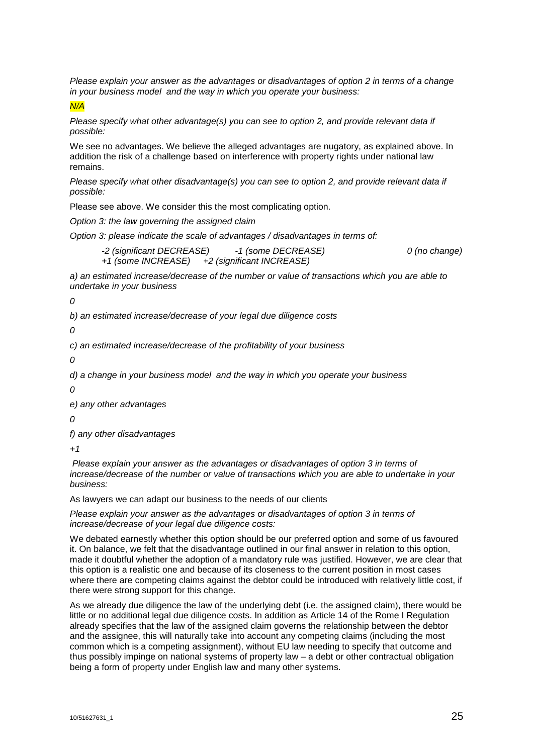*Please explain your answer as the advantages or disadvantages of option 2 in terms of a change in your business model and the way in which you operate your business:*

*N/A*

*Please specify what other advantage(s) you can see to option 2, and provide relevant data if possible:*

We see no advantages. We believe the alleged advantages are nugatory, as explained above. In addition the risk of a challenge based on interference with property rights under national law remains.

*Please specify what other disadvantage(s) you can see to option 2, and provide relevant data if possible:*

Please see above. We consider this the most complicating option.

*Option 3: the law governing the assigned claim*

*Option 3: please indicate the scale of advantages / disadvantages in terms of:*

```
-2 (significant DECREASE) -1 (some DECREASE) 0 (no change)
+1 (some INCREASE) +2 (significant INCREASE)
```
*a) an estimated increase/decrease of the number or value of transactions which you are able to undertake in your business*

*0*

*b) an estimated increase/decrease of your legal due diligence costs*

*0*

*c) an estimated increase/decrease of the profitability of your business*

*0*

*d) a change in your business model and the way in which you operate your business*

*0*

*e) any other advantages*

*0*

*f) any other disadvantages*

*+1*

*Please explain your answer as the advantages or disadvantages of option 3 in terms of increase/decrease of the number or value of transactions which you are able to undertake in your business:*

As lawyers we can adapt our business to the needs of our clients

*Please explain your answer as the advantages or disadvantages of option 3 in terms of increase/decrease of your legal due diligence costs:*

We debated earnestly whether this option should be our preferred option and some of us favoured it. On balance, we felt that the disadvantage outlined in our final answer in relation to this option, made it doubtful whether the adoption of a mandatory rule was justified. However, we are clear that this option is a realistic one and because of its closeness to the current position in most cases where there are competing claims against the debtor could be introduced with relatively little cost, if there were strong support for this change.

As we already due diligence the law of the underlying debt (i.e. the assigned claim), there would be little or no additional legal due diligence costs. In addition as Article 14 of the Rome I Regulation already specifies that the law of the assigned claim governs the relationship between the debtor and the assignee, this will naturally take into account any competing claims (including the most common which is a competing assignment), without EU law needing to specify that outcome and thus possibly impinge on national systems of property law – a debt or other contractual obligation being a form of property under English law and many other systems.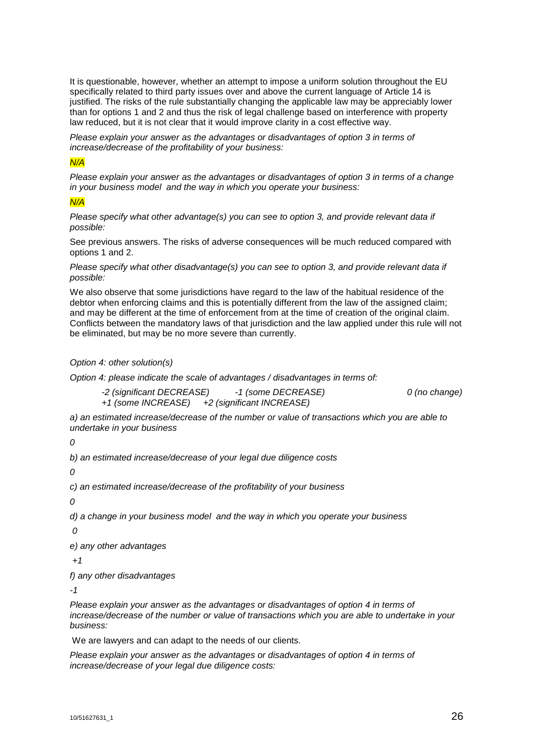It is questionable, however, whether an attempt to impose a uniform solution throughout the EU specifically related to third party issues over and above the current language of Article 14 is justified. The risks of the rule substantially changing the applicable law may be appreciably lower than for options 1 and 2 and thus the risk of legal challenge based on interference with property law reduced, but it is not clear that it would improve clarity in a cost effective way.

*Please explain your answer as the advantages or disadvantages of option 3 in terms of increase/decrease of the profitability of your business:*

# *N/A*

*Please explain your answer as the advantages or disadvantages of option 3 in terms of a change in your business model and the way in which you operate your business:*

# *N/A*

*Please specify what other advantage(s) you can see to option 3, and provide relevant data if possible:*

See previous answers. The risks of adverse consequences will be much reduced compared with options 1 and 2.

*Please specify what other disadvantage(s) you can see to option 3, and provide relevant data if possible:*

We also observe that some jurisdictions have regard to the law of the habitual residence of the debtor when enforcing claims and this is potentially different from the law of the assigned claim; and may be different at the time of enforcement from at the time of creation of the original claim. Conflicts between the mandatory laws of that jurisdiction and the law applied under this rule will not be eliminated, but may be no more severe than currently.

# *Option 4: other solution(s)*

*Option 4: please indicate the scale of advantages / disadvantages in terms of:*

*-2 (significant DECREASE) -1 (some DECREASE) 0 (no change) +1 (some INCREASE) +2 (significant INCREASE)*

*a) an estimated increase/decrease of the number or value of transactions which you are able to undertake in your business*

*0*

*b) an estimated increase/decrease of your legal due diligence costs*

*0*

*c) an estimated increase/decrease of the profitability of your business*

*0*

*d) a change in your business model and the way in which you operate your business*

*0*

*e) any other advantages*

*+1*

*f) any other disadvantages*

*-1*

*Please explain your answer as the advantages or disadvantages of option 4 in terms of increase/decrease of the number or value of transactions which you are able to undertake in your business:*

We are lawyers and can adapt to the needs of our clients.

*Please explain your answer as the advantages or disadvantages of option 4 in terms of increase/decrease of your legal due diligence costs:*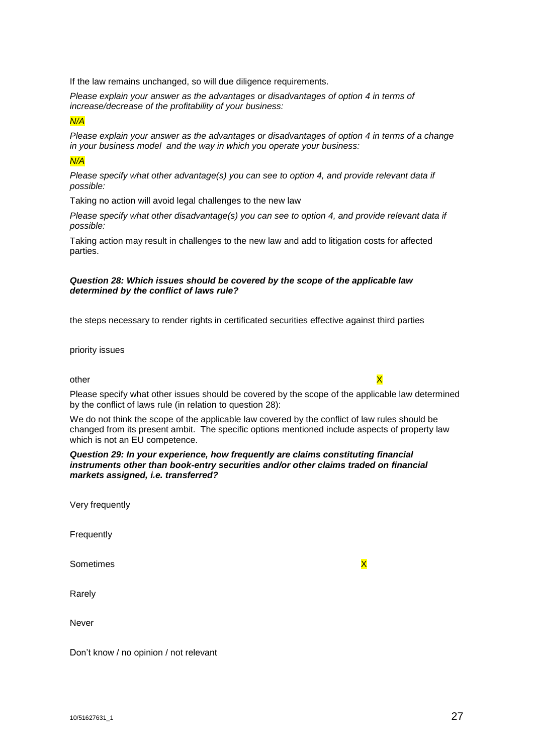If the law remains unchanged, so will due diligence requirements.

*Please explain your answer as the advantages or disadvantages of option 4 in terms of increase/decrease of the profitability of your business:*

*N/A*

*Please explain your answer as the advantages or disadvantages of option 4 in terms of a change in your business model and the way in which you operate your business:*

# *N/A*

*Please specify what other advantage(s) you can see to option 4, and provide relevant data if possible:*

Taking no action will avoid legal challenges to the new law

*Please specify what other disadvantage(s) you can see to option 4, and provide relevant data if possible:*

Taking action may result in challenges to the new law and add to litigation costs for affected parties.

#### *Question 28: Which issues should be covered by the scope of the applicable law determined by the conflict of laws rule?*

the steps necessary to render rights in certificated securities effective against third parties

priority issues

# other  $\times$

Please specify what other issues should be covered by the scope of the applicable law determined by the conflict of laws rule (in relation to question 28):

We do not think the scope of the applicable law covered by the conflict of law rules should be changed from its present ambit. The specific options mentioned include aspects of property law which is not an EU competence.

#### *Question 29: In your experience, how frequently are claims constituting financial instruments other than book-entry securities and/or other claims traded on financial markets assigned, i.e. transferred?*

|  | Very frequently |
|--|-----------------|
|--|-----------------|

**Frequently** 

Sometimes X

Rarely

Never

Don't know / no opinion / not relevant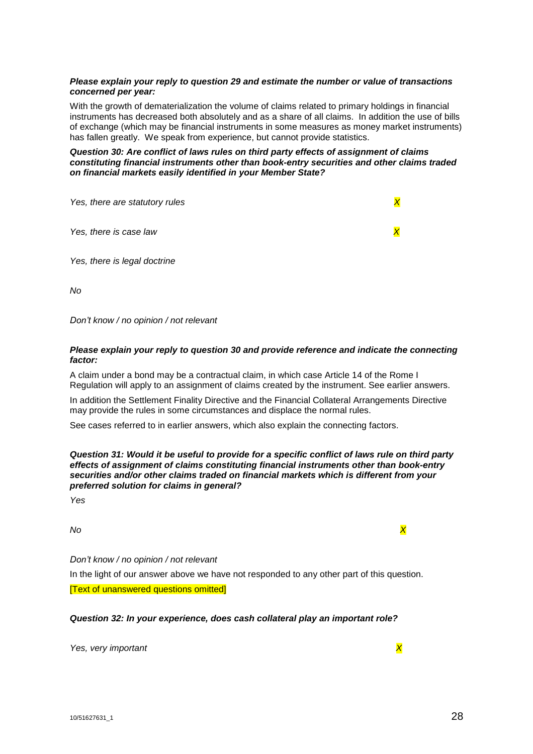# *Please explain your reply to question 29 and estimate the number or value of transactions concerned per year:*

With the growth of dematerialization the volume of claims related to primary holdings in financial instruments has decreased both absolutely and as a share of all claims. In addition the use of bills of exchange (which may be financial instruments in some measures as money market instruments) has fallen greatly. We speak from experience, but cannot provide statistics.

*Question 30: Are conflict of laws rules on third party effects of assignment of claims constituting financial instruments other than book-entry securities and other claims traded on financial markets easily identified in your Member State?*

| Yes, there are statutory rules |  |
|--------------------------------|--|
| Yes, there is case law         |  |
| Yes, there is legal doctrine   |  |

*No*

*Don't know / no opinion / not relevant*

# *Please explain your reply to question 30 and provide reference and indicate the connecting factor:*

A claim under a bond may be a contractual claim, in which case Article 14 of the Rome I Regulation will apply to an assignment of claims created by the instrument. See earlier answers.

In addition the Settlement Finality Directive and the Financial Collateral Arrangements Directive may provide the rules in some circumstances and displace the normal rules.

See cases referred to in earlier answers, which also explain the connecting factors.

*Question 31: Would it be useful to provide for a specific conflict of laws rule on third party effects of assignment of claims constituting financial instruments other than book-entry securities and/or other claims traded on financial markets which is different from your preferred solution for claims in general?*

*Yes*

*No X*

*Don't know / no opinion / not relevant*

In the light of our answer above we have not responded to any other part of this question. [Text of unanswered questions omitted]

# *Question 32: In your experience, does cash collateral play an important role?*

*Yes, very important X*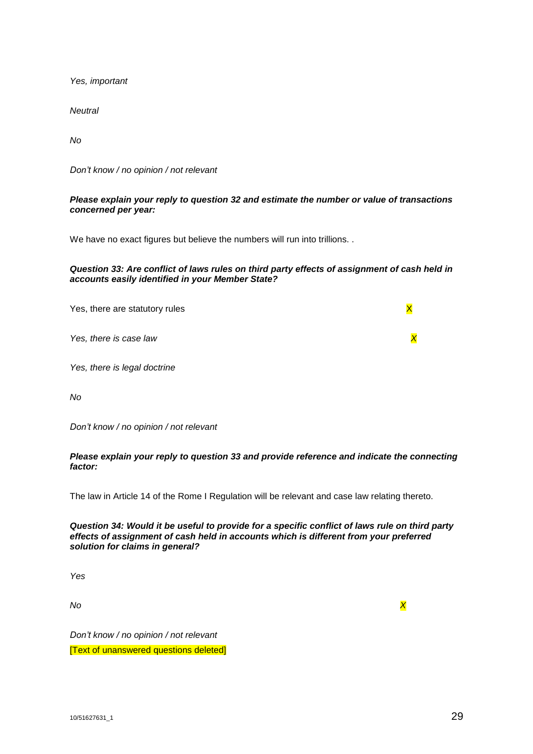*Yes, important*

*Neutral*

*No*

*Don't know / no opinion / not relevant*

# *Please explain your reply to question 32 and estimate the number or value of transactions concerned per year:*

We have no exact figures but believe the numbers will run into trillions. .

# *Question 33: Are conflict of laws rules on third party effects of assignment of cash held in accounts easily identified in your Member State?*

Yes, there are statutory rules  $\overline{X}$ *Yes, there is case law X Yes, there is legal doctrine*

*No*

*Don't know / no opinion / not relevant*

# *Please explain your reply to question 33 and provide reference and indicate the connecting factor:*

The law in Article 14 of the Rome I Regulation will be relevant and case law relating thereto.

# *Question 34: Would it be useful to provide for a specific conflict of laws rule on third party effects of assignment of cash held in accounts which is different from your preferred solution for claims in general?*

*Yes*

*No X*

*Don't know / no opinion / not relevant* [Text of unanswered questions deleted]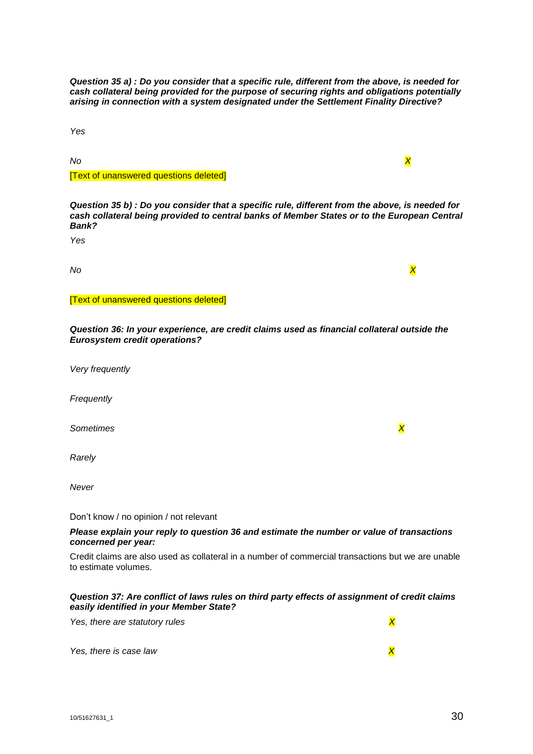*Question 35 a) : Do you consider that a specific rule, different from the above, is needed for cash collateral being provided for the purpose of securing rights and obligations potentially arising in connection with a system designated under the Settlement Finality Directive?*

*Yes*

*No X*

#### [Text of unanswered questions deleted]

*Question 35 b) : Do you consider that a specific rule, different from the above, is needed for cash collateral being provided to central banks of Member States or to the European Central Bank?*

*Yes*

*No X*

[Text of unanswered questions deleted]

*Question 36: In your experience, are credit claims used as financial collateral outside the Eurosystem credit operations?*

*Very frequently*

*Frequently* 

*Sometimes X*

*Rarely*

*Never*

Don't know / no opinion / not relevant

#### *Please explain your reply to question 36 and estimate the number or value of transactions concerned per year:*

Credit claims are also used as collateral in a number of commercial transactions but we are unable to estimate volumes.

# *Question 37: Are conflict of laws rules on third party effects of assignment of credit claims easily identified in your Member State?*

*Yes, there is case law X*

*Yes, there are statutory rules* X<sub>*X*</sub>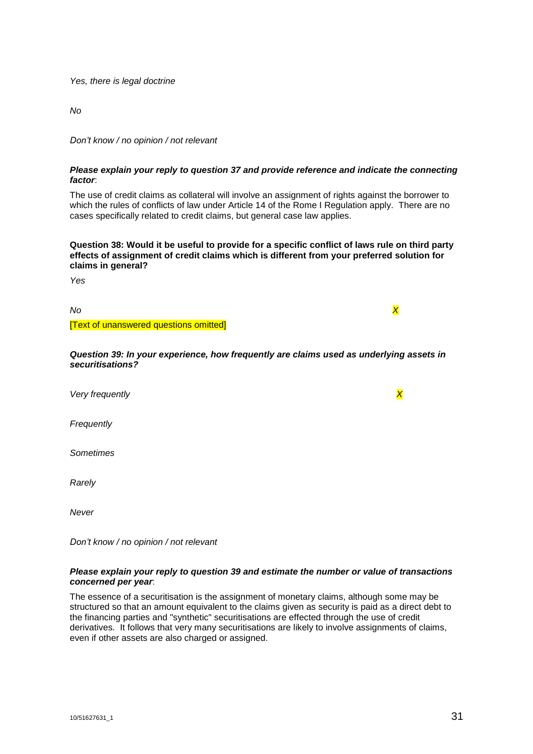*Yes, there is legal doctrine*

*No*

*Don't know / no opinion / not relevant*

# *Please explain your reply to question 37 and provide reference and indicate the connecting factor*:

The use of credit claims as collateral will involve an assignment of rights against the borrower to which the rules of conflicts of law under Article 14 of the Rome I Regulation apply. There are no cases specifically related to credit claims, but general case law applies.

**Question 38: Would it be useful to provide for a specific conflict of laws rule on third party effects of assignment of credit claims which is different from your preferred solution for claims in general?**

*Yes*

*No X*

[Text of unanswered questions omitted]

*Question 39: In your experience, how frequently are claims used as underlying assets in securitisations?*

*Very frequently X*

*Frequently*

*Sometimes*

*Rarely*

*Never*

*Don't know / no opinion / not relevant*

#### *Please explain your reply to question 39 and estimate the number or value of transactions concerned per year*:

The essence of a securitisation is the assignment of monetary claims, although some may be structured so that an amount equivalent to the claims given as security is paid as a direct debt to the financing parties and "synthetic" securitisations are effected through the use of credit derivatives. It follows that very many securitisations are likely to involve assignments of claims, even if other assets are also charged or assigned.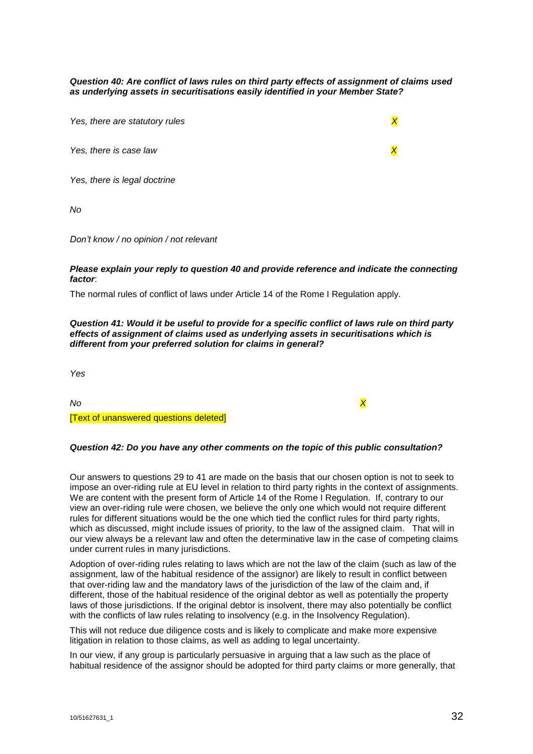*Question 40: Are conflict of laws rules on third party effects of assignment of claims used as underlying assets in securitisations easily identified in your Member State?*

*Yes, there are statutory rules X*

*Yes, there is case law X*

*Yes, there is legal doctrine*

*No*

*Don't know / no opinion / not relevant*

#### *Please explain your reply to question 40 and provide reference and indicate the connecting factor*:

The normal rules of conflict of laws under Article 14 of the Rome I Regulation apply.

#### *Question 41: Would it be useful to provide for a specific conflict of laws rule on third party effects of assignment of claims used as underlying assets in securitisations which is different from your preferred solution for claims in general?*

*Yes*

*No X*

[Text of unanswered questions deleted]

#### *Question 42: Do you have any other comments on the topic of this public consultation?*

Our answers to questions 29 to 41 are made on the basis that our chosen option is not to seek to impose an over-riding rule at EU level in relation to third party rights in the context of assignments. We are content with the present form of Article 14 of the Rome I Regulation. If, contrary to our view an over-riding rule were chosen, we believe the only one which would not require different rules for different situations would be the one which tied the conflict rules for third party rights, which as discussed, might include issues of priority, to the law of the assigned claim. That will in our view always be a relevant law and often the determinative law in the case of competing claims under current rules in many jurisdictions.

Adoption of over-riding rules relating to laws which are not the law of the claim (such as law of the assignment, law of the habitual residence of the assignor) are likely to result in conflict between that over-riding law and the mandatory laws of the jurisdiction of the law of the claim and, if different, those of the habitual residence of the original debtor as well as potentially the property laws of those jurisdictions. If the original debtor is insolvent, there may also potentially be conflict with the conflicts of law rules relating to insolvency (e.g. in the Insolvency Regulation).

This will not reduce due diligence costs and is likely to complicate and make more expensive litigation in relation to those claims, as well as adding to legal uncertainty.

In our view, if any group is particularly persuasive in arguing that a law such as the place of habitual residence of the assignor should be adopted for third party claims or more generally, that